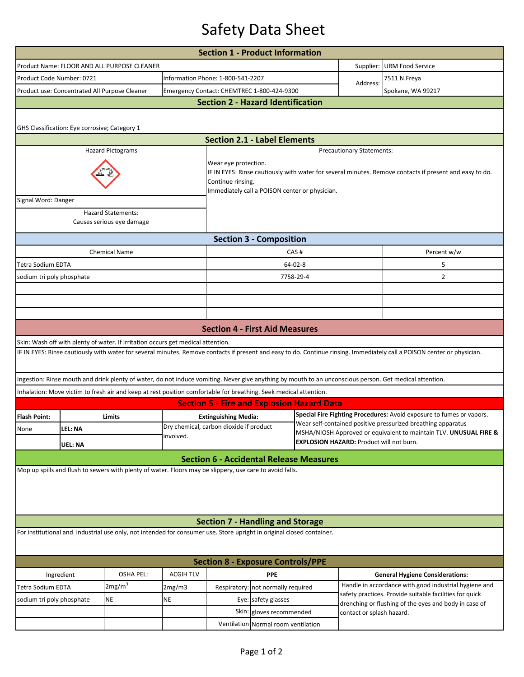## Safety Data Sheet

| <b>URM Food Service</b><br>7511 N.Freya<br>Spokane, WA 99217<br>IF IN EYES: Rinse cautiously with water for several minutes. Remove contacts if present and easy to do.<br>Percent w/w<br>5<br>$\overline{2}$                                                                                                                                                                                                                                                                                                                                                                                                                                                                                                                                                                                                                                                                                                                                                                                                                                                                                                                                                                                          |  |  |  |  |  |  |  |  |  |  |
|--------------------------------------------------------------------------------------------------------------------------------------------------------------------------------------------------------------------------------------------------------------------------------------------------------------------------------------------------------------------------------------------------------------------------------------------------------------------------------------------------------------------------------------------------------------------------------------------------------------------------------------------------------------------------------------------------------------------------------------------------------------------------------------------------------------------------------------------------------------------------------------------------------------------------------------------------------------------------------------------------------------------------------------------------------------------------------------------------------------------------------------------------------------------------------------------------------|--|--|--|--|--|--|--|--|--|--|
|                                                                                                                                                                                                                                                                                                                                                                                                                                                                                                                                                                                                                                                                                                                                                                                                                                                                                                                                                                                                                                                                                                                                                                                                        |  |  |  |  |  |  |  |  |  |  |
|                                                                                                                                                                                                                                                                                                                                                                                                                                                                                                                                                                                                                                                                                                                                                                                                                                                                                                                                                                                                                                                                                                                                                                                                        |  |  |  |  |  |  |  |  |  |  |
|                                                                                                                                                                                                                                                                                                                                                                                                                                                                                                                                                                                                                                                                                                                                                                                                                                                                                                                                                                                                                                                                                                                                                                                                        |  |  |  |  |  |  |  |  |  |  |
|                                                                                                                                                                                                                                                                                                                                                                                                                                                                                                                                                                                                                                                                                                                                                                                                                                                                                                                                                                                                                                                                                                                                                                                                        |  |  |  |  |  |  |  |  |  |  |
|                                                                                                                                                                                                                                                                                                                                                                                                                                                                                                                                                                                                                                                                                                                                                                                                                                                                                                                                                                                                                                                                                                                                                                                                        |  |  |  |  |  |  |  |  |  |  |
|                                                                                                                                                                                                                                                                                                                                                                                                                                                                                                                                                                                                                                                                                                                                                                                                                                                                                                                                                                                                                                                                                                                                                                                                        |  |  |  |  |  |  |  |  |  |  |
|                                                                                                                                                                                                                                                                                                                                                                                                                                                                                                                                                                                                                                                                                                                                                                                                                                                                                                                                                                                                                                                                                                                                                                                                        |  |  |  |  |  |  |  |  |  |  |
|                                                                                                                                                                                                                                                                                                                                                                                                                                                                                                                                                                                                                                                                                                                                                                                                                                                                                                                                                                                                                                                                                                                                                                                                        |  |  |  |  |  |  |  |  |  |  |
|                                                                                                                                                                                                                                                                                                                                                                                                                                                                                                                                                                                                                                                                                                                                                                                                                                                                                                                                                                                                                                                                                                                                                                                                        |  |  |  |  |  |  |  |  |  |  |
|                                                                                                                                                                                                                                                                                                                                                                                                                                                                                                                                                                                                                                                                                                                                                                                                                                                                                                                                                                                                                                                                                                                                                                                                        |  |  |  |  |  |  |  |  |  |  |
|                                                                                                                                                                                                                                                                                                                                                                                                                                                                                                                                                                                                                                                                                                                                                                                                                                                                                                                                                                                                                                                                                                                                                                                                        |  |  |  |  |  |  |  |  |  |  |
|                                                                                                                                                                                                                                                                                                                                                                                                                                                                                                                                                                                                                                                                                                                                                                                                                                                                                                                                                                                                                                                                                                                                                                                                        |  |  |  |  |  |  |  |  |  |  |
|                                                                                                                                                                                                                                                                                                                                                                                                                                                                                                                                                                                                                                                                                                                                                                                                                                                                                                                                                                                                                                                                                                                                                                                                        |  |  |  |  |  |  |  |  |  |  |
|                                                                                                                                                                                                                                                                                                                                                                                                                                                                                                                                                                                                                                                                                                                                                                                                                                                                                                                                                                                                                                                                                                                                                                                                        |  |  |  |  |  |  |  |  |  |  |
|                                                                                                                                                                                                                                                                                                                                                                                                                                                                                                                                                                                                                                                                                                                                                                                                                                                                                                                                                                                                                                                                                                                                                                                                        |  |  |  |  |  |  |  |  |  |  |
|                                                                                                                                                                                                                                                                                                                                                                                                                                                                                                                                                                                                                                                                                                                                                                                                                                                                                                                                                                                                                                                                                                                                                                                                        |  |  |  |  |  |  |  |  |  |  |
|                                                                                                                                                                                                                                                                                                                                                                                                                                                                                                                                                                                                                                                                                                                                                                                                                                                                                                                                                                                                                                                                                                                                                                                                        |  |  |  |  |  |  |  |  |  |  |
| <b>Section 4 - First Aid Measures</b>                                                                                                                                                                                                                                                                                                                                                                                                                                                                                                                                                                                                                                                                                                                                                                                                                                                                                                                                                                                                                                                                                                                                                                  |  |  |  |  |  |  |  |  |  |  |
| Skin: Wash off with plenty of water. If irritation occurs get medical attention.                                                                                                                                                                                                                                                                                                                                                                                                                                                                                                                                                                                                                                                                                                                                                                                                                                                                                                                                                                                                                                                                                                                       |  |  |  |  |  |  |  |  |  |  |
|                                                                                                                                                                                                                                                                                                                                                                                                                                                                                                                                                                                                                                                                                                                                                                                                                                                                                                                                                                                                                                                                                                                                                                                                        |  |  |  |  |  |  |  |  |  |  |
|                                                                                                                                                                                                                                                                                                                                                                                                                                                                                                                                                                                                                                                                                                                                                                                                                                                                                                                                                                                                                                                                                                                                                                                                        |  |  |  |  |  |  |  |  |  |  |
| Inhalation: Move victim to fresh air and keep at rest position comfortable for breathing. Seek medical attention.                                                                                                                                                                                                                                                                                                                                                                                                                                                                                                                                                                                                                                                                                                                                                                                                                                                                                                                                                                                                                                                                                      |  |  |  |  |  |  |  |  |  |  |
|                                                                                                                                                                                                                                                                                                                                                                                                                                                                                                                                                                                                                                                                                                                                                                                                                                                                                                                                                                                                                                                                                                                                                                                                        |  |  |  |  |  |  |  |  |  |  |
|                                                                                                                                                                                                                                                                                                                                                                                                                                                                                                                                                                                                                                                                                                                                                                                                                                                                                                                                                                                                                                                                                                                                                                                                        |  |  |  |  |  |  |  |  |  |  |
|                                                                                                                                                                                                                                                                                                                                                                                                                                                                                                                                                                                                                                                                                                                                                                                                                                                                                                                                                                                                                                                                                                                                                                                                        |  |  |  |  |  |  |  |  |  |  |
|                                                                                                                                                                                                                                                                                                                                                                                                                                                                                                                                                                                                                                                                                                                                                                                                                                                                                                                                                                                                                                                                                                                                                                                                        |  |  |  |  |  |  |  |  |  |  |
|                                                                                                                                                                                                                                                                                                                                                                                                                                                                                                                                                                                                                                                                                                                                                                                                                                                                                                                                                                                                                                                                                                                                                                                                        |  |  |  |  |  |  |  |  |  |  |
|                                                                                                                                                                                                                                                                                                                                                                                                                                                                                                                                                                                                                                                                                                                                                                                                                                                                                                                                                                                                                                                                                                                                                                                                        |  |  |  |  |  |  |  |  |  |  |
|                                                                                                                                                                                                                                                                                                                                                                                                                                                                                                                                                                                                                                                                                                                                                                                                                                                                                                                                                                                                                                                                                                                                                                                                        |  |  |  |  |  |  |  |  |  |  |
|                                                                                                                                                                                                                                                                                                                                                                                                                                                                                                                                                                                                                                                                                                                                                                                                                                                                                                                                                                                                                                                                                                                                                                                                        |  |  |  |  |  |  |  |  |  |  |
|                                                                                                                                                                                                                                                                                                                                                                                                                                                                                                                                                                                                                                                                                                                                                                                                                                                                                                                                                                                                                                                                                                                                                                                                        |  |  |  |  |  |  |  |  |  |  |
|                                                                                                                                                                                                                                                                                                                                                                                                                                                                                                                                                                                                                                                                                                                                                                                                                                                                                                                                                                                                                                                                                                                                                                                                        |  |  |  |  |  |  |  |  |  |  |
|                                                                                                                                                                                                                                                                                                                                                                                                                                                                                                                                                                                                                                                                                                                                                                                                                                                                                                                                                                                                                                                                                                                                                                                                        |  |  |  |  |  |  |  |  |  |  |
| <b>General Hygiene Considerations:</b>                                                                                                                                                                                                                                                                                                                                                                                                                                                                                                                                                                                                                                                                                                                                                                                                                                                                                                                                                                                                                                                                                                                                                                 |  |  |  |  |  |  |  |  |  |  |
| Handle in accordance with good industrial hygiene and                                                                                                                                                                                                                                                                                                                                                                                                                                                                                                                                                                                                                                                                                                                                                                                                                                                                                                                                                                                                                                                                                                                                                  |  |  |  |  |  |  |  |  |  |  |
| safety practices. Provide suitable facilities for quick                                                                                                                                                                                                                                                                                                                                                                                                                                                                                                                                                                                                                                                                                                                                                                                                                                                                                                                                                                                                                                                                                                                                                |  |  |  |  |  |  |  |  |  |  |
| drenching or flushing of the eyes and body in case of<br>contact or splash hazard.                                                                                                                                                                                                                                                                                                                                                                                                                                                                                                                                                                                                                                                                                                                                                                                                                                                                                                                                                                                                                                                                                                                     |  |  |  |  |  |  |  |  |  |  |
| Causes serious eye damage<br><b>Section 3 - Composition</b><br><b>Chemical Name</b><br>CAS#<br>Tetra Sodium EDTA<br>$64 - 02 - 8$<br>7758-29-4<br>sodium tri poly phosphate<br>IF IN EYES: Rinse cautiously with water for several minutes. Remove contacts if present and easy to do. Continue rinsing. Immediately call a POISON center or physician.<br>Ingestion: Rinse mouth and drink plenty of water, do not induce vomiting. Never give anything by mouth to an unconscious person. Get medical attention.<br><b>Section 5 - Fire and Explosion Hazard Data</b><br>Special Fire Fighting Procedures: Avoid exposure to fumes or vapors.<br><b>Flash Point:</b><br><b>Extinguishing Media:</b><br>Limits<br>Wear self-contained positive pressurized breathing apparatus<br>Dry chemical, carbon dioxide if product<br>LEL: NA<br>None<br>MSHA/NIOSH Approved or equivalent to maintain TLV. UNUSUAL FIRE &<br>involved.<br><b>EXPLOSION HAZARD: Product will not burn.</b><br>UEL: NA<br><b>Section 6 - Accidental Release Measures</b><br>Mop up spills and flush to sewers with plenty of water. Floors may be slippery, use care to avoid falls.<br><b>Section 7 - Handling and Storage</b> |  |  |  |  |  |  |  |  |  |  |